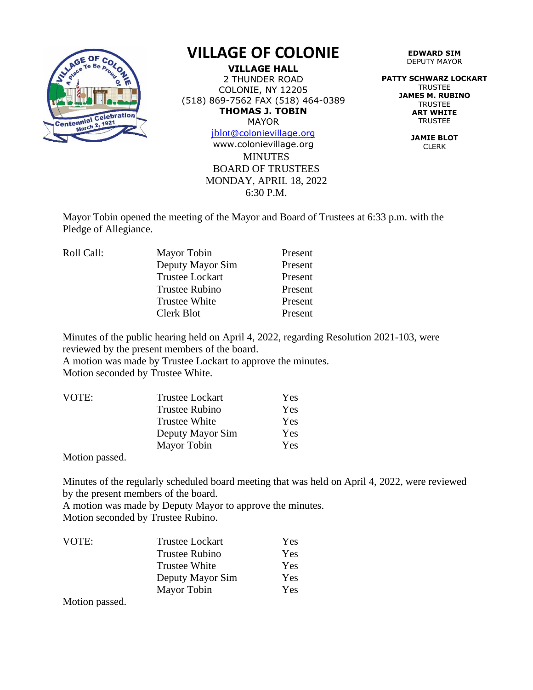

## **VILLAGE OF COLONIE**

**VILLAGE HALL** 2 THUNDER ROAD COLONIE, NY 12205 (518) 869-7562 FAX (518) 464-0389 **THOMAS J. TOBIN** MAYOR

[jblot](mailto:jblot@colonievillage.org)[@colonievillage.org](mailto:jblot@colonievillage.org)

**MINUTES** BOARD OF TRUSTEES MONDAY, APRIL 18, 2022 6:30 P.M. www.colonievillage.org

**EDWARD SIM** DEPUTY MAYOR

**PATTY SCHWARZ LOCKART** TRUSTEE **JAMES M. RUBINO TRUSTEE ART WHITE** TRUSTEE

> **JAMIE BLOT** CLERK

Mayor Tobin opened the meeting of the Mayor and Board of Trustees at 6:33 p.m. with the Pledge of Allegiance.

| Roll Call: | Mayor Tobin            | Present |
|------------|------------------------|---------|
|            | Deputy Mayor Sim       | Present |
|            | <b>Trustee Lockart</b> | Present |
|            | <b>Trustee Rubino</b>  | Present |
|            | <b>Trustee White</b>   | Present |
|            | Clerk Blot             | Present |
|            |                        |         |

Minutes of the public hearing held on April 4, 2022, regarding Resolution 2021-103, were reviewed by the present members of the board.

A motion was made by Trustee Lockart to approve the minutes. Motion seconded by Trustee White.

| VOTE: | <b>Trustee Lockart</b> | Yes |
|-------|------------------------|-----|
|       | <b>Trustee Rubino</b>  | Yes |
|       | <b>Trustee White</b>   | Yes |
|       | Deputy Mayor Sim       | Yes |
|       | Mayor Tobin            | Yes |

Motion passed.

Minutes of the regularly scheduled board meeting that was held on April 4, 2022, were reviewed by the present members of the board.

A motion was made by Deputy Mayor to approve the minutes. Motion seconded by Trustee Rubino.

| VOTE: | <b>Trustee Lockart</b> | <b>Yes</b> |
|-------|------------------------|------------|
|       | <b>Trustee Rubino</b>  | <b>Yes</b> |
|       | <b>Trustee White</b>   | <b>Yes</b> |
|       | Deputy Mayor Sim       | Yes        |
|       | Mayor Tobin            | <b>Yes</b> |

Motion passed.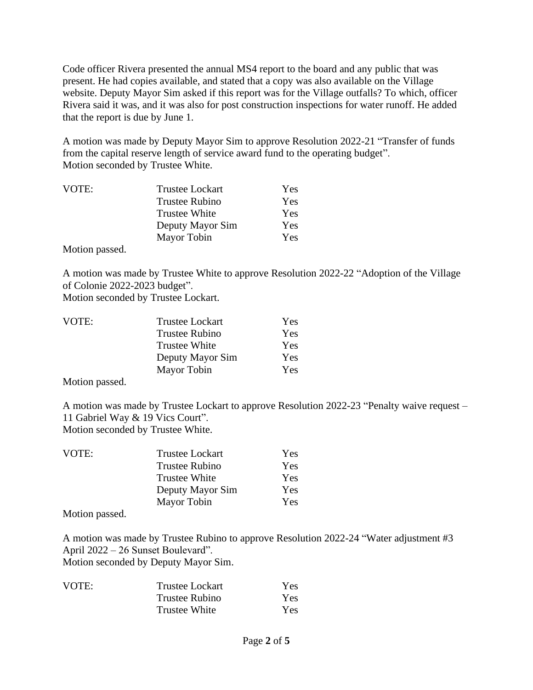Code officer Rivera presented the annual MS4 report to the board and any public that was present. He had copies available, and stated that a copy was also available on the Village website. Deputy Mayor Sim asked if this report was for the Village outfalls? To which, officer Rivera said it was, and it was also for post construction inspections for water runoff. He added that the report is due by June 1.

A motion was made by Deputy Mayor Sim to approve Resolution 2022-21 "Transfer of funds from the capital reserve length of service award fund to the operating budget". Motion seconded by Trustee White.

| VOTE:         | <b>Trustee Lockart</b> | Yes |
|---------------|------------------------|-----|
|               | <b>Trustee Rubino</b>  | Yes |
|               | <b>Trustee White</b>   | Yes |
|               | Deputy Mayor Sim       | Yes |
|               | Mayor Tobin            | Yes |
| $\sim$ $\sim$ |                        |     |

Motion passed.

A motion was made by Trustee White to approve Resolution 2022-22 "Adoption of the Village of Colonie 2022-2023 budget".

Motion seconded by Trustee Lockart.

| VOTE: | <b>Trustee Lockart</b> | Yes |
|-------|------------------------|-----|
|       | Trustee Rubino         | Yes |
|       | Trustee White          | Yes |
|       | Deputy Mayor Sim       | Yes |
|       | Mayor Tobin            | Yes |
|       |                        |     |

Motion passed.

A motion was made by Trustee Lockart to approve Resolution 2022-23 "Penalty waive request – 11 Gabriel Way & 19 Vics Court". Motion seconded by Trustee White.

| VOTE: | <b>Trustee Lockart</b> | Yes.       |
|-------|------------------------|------------|
|       | <b>Trustee Rubino</b>  | Yes        |
|       | <b>Trustee White</b>   | Yes        |
|       | Deputy Mayor Sim       | <b>Yes</b> |
|       | Mayor Tobin            | Yes.       |

Motion passed.

A motion was made by Trustee Rubino to approve Resolution 2022-24 "Water adjustment #3 April 2022 – 26 Sunset Boulevard". Motion seconded by Deputy Mayor Sim.

| VOTE: | <b>Trustee Lockart</b> | Yes        |
|-------|------------------------|------------|
|       | Trustee Rubino         | Yes        |
|       | <b>Trustee White</b>   | <b>Yes</b> |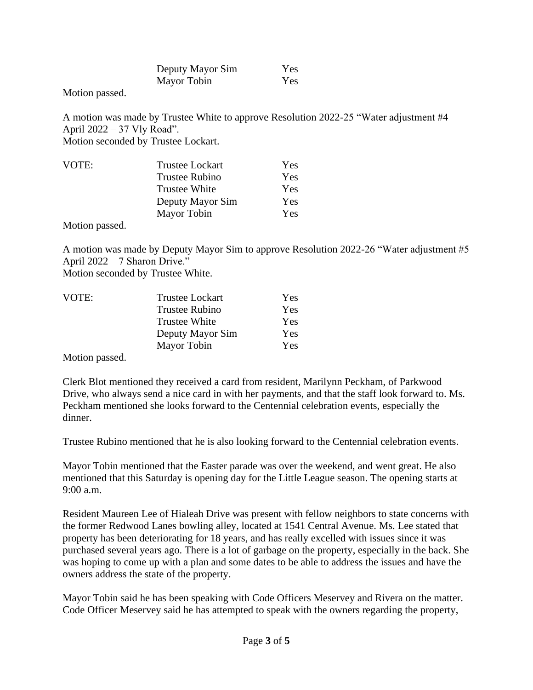| Deputy Mayor Sim | Yes |
|------------------|-----|
| Mayor Tobin      | Yes |

Motion passed.

A motion was made by Trustee White to approve Resolution 2022-25 "Water adjustment #4 April 2022 – 37 Vly Road". Motion seconded by Trustee Lockart.

| VOTE:         | <b>Trustee Lockart</b> | Yes |
|---------------|------------------------|-----|
|               | Trustee Rubino         | Yes |
|               | <b>Trustee White</b>   | Yes |
|               | Deputy Mayor Sim       | Yes |
|               | Mayor Tobin            | Yes |
| $\sim$ $\sim$ |                        |     |

Motion passed.

A motion was made by Deputy Mayor Sim to approve Resolution 2022-26 "Water adjustment #5 April 2022 – 7 Sharon Drive." Motion seconded by Trustee White.

| VOTE: | <b>Trustee Lockart</b> | Yes |
|-------|------------------------|-----|
|       | <b>Trustee Rubino</b>  | Yes |
|       | <b>Trustee White</b>   | Yes |
|       | Deputy Mayor Sim       | Yes |
|       | Mayor Tobin            | Yes |

Motion passed.

Clerk Blot mentioned they received a card from resident, Marilynn Peckham, of Parkwood Drive, who always send a nice card in with her payments, and that the staff look forward to. Ms. Peckham mentioned she looks forward to the Centennial celebration events, especially the dinner.

Trustee Rubino mentioned that he is also looking forward to the Centennial celebration events.

Mayor Tobin mentioned that the Easter parade was over the weekend, and went great. He also mentioned that this Saturday is opening day for the Little League season. The opening starts at 9:00 a.m.

Resident Maureen Lee of Hialeah Drive was present with fellow neighbors to state concerns with the former Redwood Lanes bowling alley, located at 1541 Central Avenue. Ms. Lee stated that property has been deteriorating for 18 years, and has really excelled with issues since it was purchased several years ago. There is a lot of garbage on the property, especially in the back. She was hoping to come up with a plan and some dates to be able to address the issues and have the owners address the state of the property.

Mayor Tobin said he has been speaking with Code Officers Meservey and Rivera on the matter. Code Officer Meservey said he has attempted to speak with the owners regarding the property,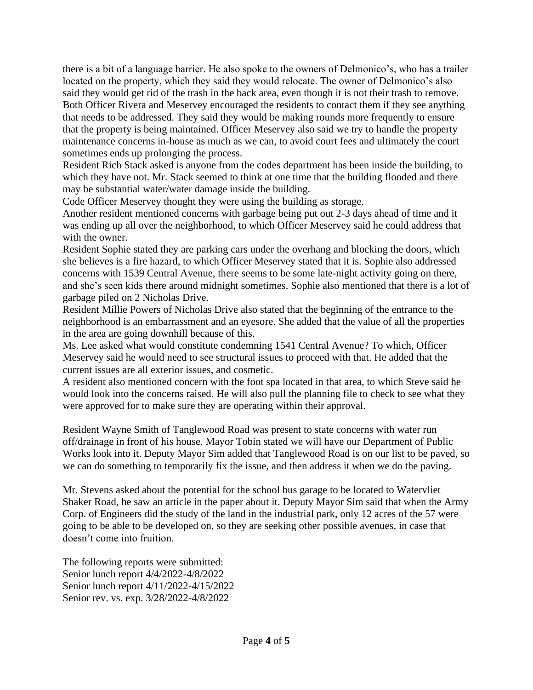there is a bit of a language barrier. He also spoke to the owners of Delmonico's, who has a trailer located on the property, which they said they would relocate. The owner of Delmonico's also said they would get rid of the trash in the back area, even though it is not their trash to remove. Both Officer Rivera and Meservey encouraged the residents to contact them if they see anything that needs to be addressed. They said they would be making rounds more frequently to ensure that the property is being maintained. Officer Meservey also said we try to handle the property maintenance concerns in-house as much as we can, to avoid court fees and ultimately the court sometimes ends up prolonging the process.

Resident Rich Stack asked is anyone from the codes department has been inside the building, to which they have not. Mr. Stack seemed to think at one time that the building flooded and there may be substantial water/water damage inside the building.

Code Officer Meservey thought they were using the building as storage.

Another resident mentioned concerns with garbage being put out 2-3 days ahead of time and it was ending up all over the neighborhood, to which Officer Meservey said he could address that with the owner.

Resident Sophie stated they are parking cars under the overhang and blocking the doors, which she believes is a fire hazard, to which Officer Meservey stated that it is. Sophie also addressed concerns with 1539 Central Avenue, there seems to be some late-night activity going on there, and she's seen kids there around midnight sometimes. Sophie also mentioned that there is a lot of garbage piled on 2 Nicholas Drive.

Resident Millie Powers of Nicholas Drive also stated that the beginning of the entrance to the neighborhood is an embarrassment and an eyesore. She added that the value of all the properties in the area are going downhill because of this.

Ms. Lee asked what would constitute condemning 1541 Central Avenue? To which, Officer Meservey said he would need to see structural issues to proceed with that. He added that the current issues are all exterior issues, and cosmetic.

A resident also mentioned concern with the foot spa located in that area, to which Steve said he would look into the concerns raised. He will also pull the planning file to check to see what they were approved for to make sure they are operating within their approval.

Resident Wayne Smith of Tanglewood Road was present to state concerns with water run off/drainage in front of his house. Mayor Tobin stated we will have our Department of Public Works look into it. Deputy Mayor Sim added that Tanglewood Road is on our list to be paved, so we can do something to temporarily fix the issue, and then address it when we do the paving.

Mr. Stevens asked about the potential for the school bus garage to be located to Watervliet Shaker Road, he saw an article in the paper about it. Deputy Mayor Sim said that when the Army Corp. of Engineers did the study of the land in the industrial park, only 12 acres of the 57 were going to be able to be developed on, so they are seeking other possible avenues, in case that doesn't come into fruition.

The following reports were submitted: Senior lunch report 4/4/2022-4/8/2022 Senior lunch report 4/11/2022-4/15/2022 Senior rev. vs. exp. 3/28/2022-4/8/2022